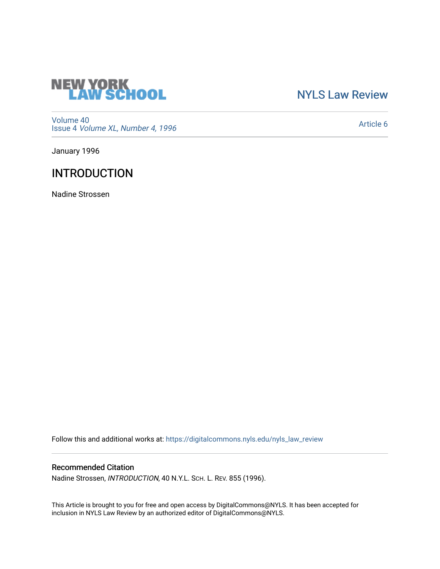

## [NYLS Law Review](https://digitalcommons.nyls.edu/nyls_law_review)

[Volume 40](https://digitalcommons.nyls.edu/nyls_law_review/vol40) Issue 4 [Volume XL, Number 4, 1996](https://digitalcommons.nyls.edu/nyls_law_review/vol40/iss4)

[Article 6](https://digitalcommons.nyls.edu/nyls_law_review/vol40/iss4/6) 

January 1996

# INTRODUCTION

Nadine Strossen

Follow this and additional works at: [https://digitalcommons.nyls.edu/nyls\\_law\\_review](https://digitalcommons.nyls.edu/nyls_law_review?utm_source=digitalcommons.nyls.edu%2Fnyls_law_review%2Fvol40%2Fiss4%2F6&utm_medium=PDF&utm_campaign=PDFCoverPages) 

### Recommended Citation

Nadine Strossen, INTRODUCTION, 40 N.Y.L. SCH. L. REV. 855 (1996).

This Article is brought to you for free and open access by DigitalCommons@NYLS. It has been accepted for inclusion in NYLS Law Review by an authorized editor of DigitalCommons@NYLS.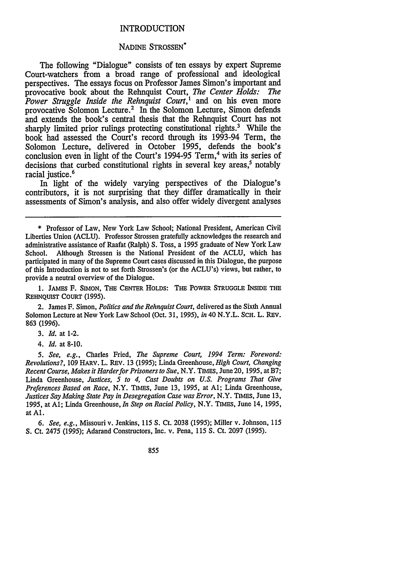#### INTRODUCTION

#### NADINE STROSSEN\*

The following "Dialogue" consists of ten essays by expert Supreme Court-watchers from a broad range of professional and ideological perspectives. The essays focus on Professor James Simon's important and provocative book about the Rehnquist Court, *The Center Holds: The Power Struggle Inside the Rehnquist Court*,<sup>1</sup> and on his even more provocative Solomon Lecture.' In the Solomon Lecture, Simon defends and extends the book's central thesis that the Rehnquist Court has not sharply limited prior rulings protecting constitutional rights.<sup>3</sup> While the book had assessed the Court's record through its 1993-94 Term, the Solomon Lecture, delivered in October 1995, defends the book's conclusion even in light of the Court's 1994-95 Term,<sup>4</sup> with its series of  $decisions that curbed$  constitutional rights in several key areas,<sup>5</sup> notably racial justice.<sup>6</sup>

In light of the widely varying perspectives of the Dialogue's contributors, it is not surprising that they differ dramatically in their assessments of Simon's analysis, and also offer widely divergent analyses

**1. JAMES** F. **SIMON, THE CENTER HOLDS:** THE **POWER STRUGGLE INSIDE THE** REHNQUIST COURT **(1995).**

2. James F. Simon, *Politics and the Rehnquist Court,* delivered as the Sixth Annual Solomon Lecture at New York Law School (Oct. **31, 1995),** *in* 40 N.Y.L. **SCH.** L. REv. **863 (1996).**

*3. Id.* at 1-2.

*4. Id.* at **8-10.**

*5. See, e.g.,* Charles Fried, *The Supreme Court, 1994 Term: Foreword: Revolutions?,* 109 HARV. L. REV. **13** (1995); Linda Greenhouse, *High Court, Changing Recent Course, Makes it Harderfor Prisoners to Sue,* N.Y. TIMES, June 20, 1995, at B7; Linda Greenhouse, *Justices, 5 to 4, Cast Doubts on U.S. Programs That Give Preferences Based on Race,* N.Y. TIMES, June 13, 1995, at **Al;** Linda Greenhouse, *Justices Say Making State Pay in Desegregation Case was Error,* N.Y. TIMES, June 13, 1995, at **Al;** Linda Greenhouse, *In Step on Racial Policy,* N.Y. TIMES, June 14, 1995, at **Al.**

*6. See, e.g.,* Missouri v. Jenkins, 115 *S.* Ct. 2038 (1995); Miller v. Johnson, 115 S. Ct. 2475 (1995); Adarand Constructors, Inc. v. Pena, 115 *S.* Ct. 2097 (1995).

855

<sup>\*</sup> Professor of Law, New York Law School; National President, American Civil Liberties Union (ACLU). Professor Strossen gratefully acknowledges the research and administrative assistance of Raafat (Ralph) S. Toss, a 1995 graduate of New York Law School. Although Strossen is the National President of the ACLU, which has participated in many of the Supreme Court cases discussed in this Dialogue, the purpose of this Introduction is not to set forth Strossen's (or the ACLU's) views, but rather, to provide a neutral overview of the Dialogue.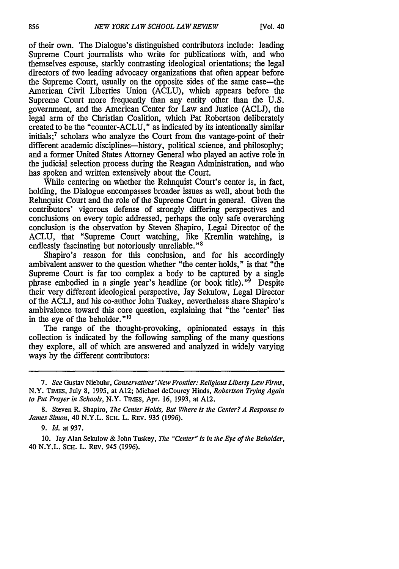of their own. The Dialogue's distinguished contributors include: leading Supreme Court journalists who write for publications with, and who themselves espouse, starkly contrasting ideological orientations; the legal directors of two leading advocacy organizations that often appear before the Supreme Court, usually on the opposite sides of the same case-the American Civil Liberties Union (ACLU), which appears before the Supreme Court more frequently than any entity other than the U.S. government, and the American Center for Law and Justice (ACLJ), the legal arm of the Christian Coalition, which Pat Robertson deliberately created to be the "counter-ACLU," as indicated by its intentionally similar initials;<sup>7</sup> scholars who analyze the Court from the vantage-point of their different academic disciplines—history, political science, and philosophy; and a former United States Attorney General who played an active role in the judicial selection process during the Reagan Administration, and who has spoken and written extensively about the Court.

While centering on whether the Rehnquist Court's center is, in fact, holding, the Dialogue encompasses broader issues as well, about both the Rehnquist Court and the role of the Supreme Court in general. Given the contributors' vigorous defense of strongly differing perspectives and conclusions on every topic addressed, perhaps the only safe overarching conclusion is the observation by Steven Shapiro, Legal Director of the ACLU, that "Supreme Court watching, like Kremlin watching, is endlessly fascinating but notoriously unreliable."8

Shapiro's reason for this conclusion, and for his accordingly ambivalent answer to the question whether "the center holds," is that "the Supreme Court is far too complex a body to be captured by a single phrase embodied in a single year's headline (or book title). $^{9}$  Despite their very different ideological perspective, Jay Sekulow, Legal Director of the ACLJ, and his co-author John Tuskey, nevertheless share Shapiro's ambivalence toward this core question, explaining that "the 'center' lies in the eye of the beholder."<sup>10</sup>

The range of the thought-provoking, opinionated essays in this collection is indicated by the following sampling of the many questions they explore, all of which are answered and analyzed in widely varying ways by the different contributors:

10. Jay Alan Sekulow & John Tuskey, *The "Center" is in the Eye of the Beholder,* 40 N.Y.L. SCH. L. REv. 945 (1996).

*<sup>7.</sup> See* Gustav Niebuhr, *Conservatives'New Frontier: Religious Liberty Law Firms,* N.Y. TIMES, July 8, 1995, at A12; Michael deCourcy Hinds, *Robertson Trying Again to Put Prayer in Schools,* N.Y. TIMES, Apr. 16, 1993, at A12.

<sup>8.</sup> Steven R. Shapiro, *The Center Holds, But Where is the Center? A Response to James Simon,* 40 N.Y.L. ScH. L. REv. 935 (1996).

*<sup>9.</sup> Id.* at 937.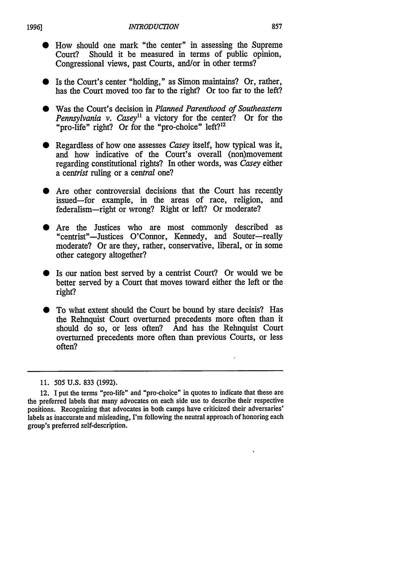- How should one mark "the center" in assessing the Supreme Court? Should it be measured in terms of public opinion. Should it be measured in terms of public opinion, Congressional views, past Courts, and/or in other terms?
- \* Is the Court's center "holding," as Simon maintains? Or, rather, has the Court moved too far to the right? Or too far to the left?
- Was the Court's decision in *Planned Parenthood of Southeastern Pennsylvania v. Casey*<sup>11</sup> a victory for the center? Or for the "pro-life" right? Or for the "pro-choice" left?<sup>12</sup>
- Regardless of how one assesses *Casey* itself, how typical was it, and how indicative of the Court's overall (non)movement regarding constitutional rights? In other words, was *Casey* either *a centrist* ruling or a central one?
- Are other controversial decisions that the Court has recently issued-for example, in the areas of race, religion, and federalism-right or wrong? Right or left? Or moderate?
- Are the Justices who are most commonly described as "centrist"-Justices O'Connor, Kennedy, and Souter-really moderate? Or are they, rather, conservative, liberal, or in some other category altogether?
- **"** Is our nation best served by a centrist Court? Or would we be better served by a Court that moves toward either the left or the right?
- To what extent should the Court be bound by stare decisis? Has the Rehnquist Court overturned precedents more often than it should do so, or less often? And has the Rehnquist Court overturned precedents more often than previous Courts, or less often?

*<sup>11.</sup>* 505 U.S. 833 (1992).

<sup>12.</sup> I put the terms "pro-life" and "pro-choice" in quotes to indicate that these are the preferred labels that many advocates on each side use to describe their respective positions. Recognizing that advocates in both camps have criticized their adversaries' labels as inaccurate and misleading, I'm following the neutral approach of honoring each group's preferred self-description.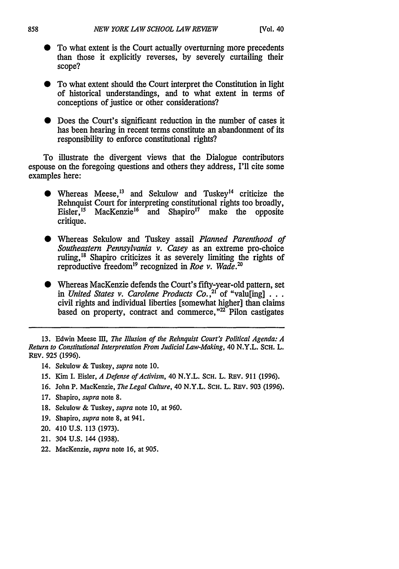- \* To what extent is the Court actually overturning more precedents than those it explicitly reverses, by severely curtailing their scope?
- \* To what extent should the Court interpret the Constitution in light of historical understandings, and to what extent in terms of conceptions of justice or other considerations?
- Does the Court's significant reduction in the number of cases it has been hearing in recent terms constitute an abandonment of its responsibility to enforce constitutional rights?

To illustrate the divergent views that the Dialogue contributors espouse on the foregoing questions and others they address, I'll cite some examples here:

- Whereas Meese,  $^{13}$  and Sekulow and Tuskey<sup>14</sup> criticize the Rehnquist Court for interpreting constitutional rights too broadly, Eisler,  $^{15}$  MacKenzie<sup>16</sup> and Shapiro<sup>17</sup> make the opposite critique.
- \* Whereas Sekulow and Tuskey assail *Planned Parenthood of Southeastern Pennsylvania v. Casey* as an extreme pro-choice ruling,"8 Shapiro criticizes it as severely limiting the rights of reproductive freedom<sup>19</sup> recognized in *Roe v. Wade*.<sup>20</sup>
- \* Whereas MacKenzie defends the Court's fifty-year-old pattern, set in United States v. Carolene Products Co.,<sup>21</sup> of "valu<sup>[ing]</sup>  $\ldots$ civil rights and individual liberties [somewhat higher] than claims based on property, contract and commerce, $\frac{22}{\text{P}}$  Pilon castigates

13. Edwin Meese HI, *The Illusion of the Rehnquist Court's Political Agenda: A Return to Constitutional Interpretation From Judicial Law-Making,* 40 N.Y.L. SCH. L. REV. 925 (1996).

- 14. Sekulow & Tuskey, *supra* note 10.
- *15.* Kim I. Eisler, *A Defense of Activism,* 40 N.Y.L. SCH. L. REv. 911 (1996).
- 16. John P. MacKenzie, *The Legal Culture*, 40 N.Y.L. SCH. L. REV. 903 (1996).
- 17. Shapiro, *supra* note 8.
- 18. Sekulow & Tuskey, *supra* note 10, at 960.
- 19. Shapiro, *supra* note 8, at 941.
- 20. 410 U.S. 113 (1973).
- 21. 304 U.S. 144 (1938).
- 22. MacKenzie, *supra* note 16, at 905.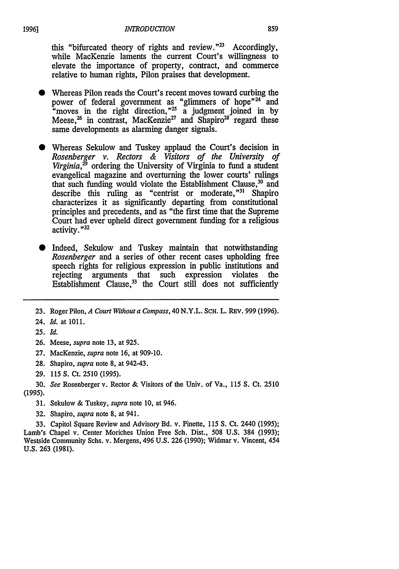this "bifurcated theory of rights and review."<sup>23</sup> Accordingly, while MacKenzie laments the current Court's willingness to elevate the importance of property, contract, and commerce relative to human rights, Pilon praises that development.

- **"** Whereas Pilon reads the Court's recent moves toward curbing the power of federal government as "glimmers of hope"<sup>24"</sup> and "moves in the right direction,"<sup>25</sup> a judgment joined in by Meese, $^{26}$  in contrast, MacKenzie<sup>27</sup> and Shapiro<sup>28</sup> regard these same developments as alarming danger signals.
- Whereas Sekulow and Tuskey applaud the Court's decision in *Rosenberger v. Rectors & Visitors of the University of Virginia,29* ordering the University of Virginia to fund a student evangelical magazine and overturning the lower courts' rulings that such funding would violate the Establishment Clause,<sup>30</sup> and describe this ruling as "centrist or moderate,"<sup>31</sup> Shapiro characterizes it as significantly departing from constitutional principles and precedents, and as "the first time that the Supreme Court had ever upheld direct government funding for a religious activity. **"32**
- Indeed, Sekulow and Tuskey maintain that notwithstanding *Rosenberger* and a series of other recent cases upholding free speech rights for religious expression in public institutions and rejecting arguments that such expression violates the Establishment Clause,  $33$  the Court still does not sufficiently

- **26.** Meese, *supra* note 13, at 925.
- 27. MacKenzie, *supra* note 16, at 909-10.
- 28. Shapiro, *supra* note 8, at 942-43.
- 29. 115 S. Ct. 2510 (1995).
- 30. *See* Rosenberger v. Rector & Visitors of the Univ. of Va., 115 *S.* Ct. 2510 (1995).
	- 31. Sekulow & Tuskey, *supra* note 10, at 946.
	- 32. Shapiro, *supra* note 8, at 941.

33. Capitol Square Review and Advisory Bd. v. Pinette, 115 *S.* Ct. 2440 (1995); Lamb's Chapel v. Center Moriches Union Free Sch. Dist., 508 U.S. 384 (1993); Westside Community Schs. v. Mergens, 496 U.S. 226 (1990); Widmar v. Vincent, 454 U.S. 263 (1981).

**<sup>23.</sup>** Roger Pilon, *A Court Without a Compass,* 40 N.Y.L. SCH. L. REv. 999 (1996).

<sup>24.</sup> *Id.* at 1011.

**<sup>25.</sup>** *Id.*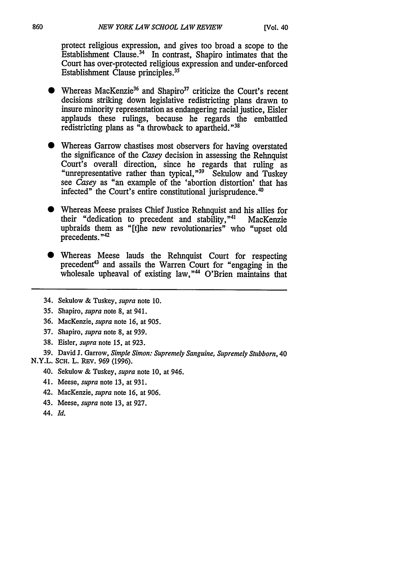protect religious expression, and gives too broad a scope to the Establishment Clause. $34$  In contrast, Shapiro intimates that the Court has over-protected religious expression and under-enforced Establishment Clause principles.35

- Whereas MacKenzie<sup>36</sup> and Shapiro<sup>37</sup> criticize the Court's recent decisions striking down legislative redistricting plans drawn to insure minority representation as endangering racial justice, Eisler applauds these rulings, because he regards the embattled redistricting plans as "a throwback to apartheid."<sup>38</sup>
- Whereas Garrow chastises most observers for having overstated the significance of the Casey decision in assessing the Rehnquist Court's overall direction, since he regards that ruling as "unrepresentative rather than typical,"39 Sekulow and Tuskey see *Casey* as "an example of the 'abortion distortion' that has infected" the Court's entire constitutional jurisprudence.<sup>4</sup>
- \* Whereas Meese praises Chief Justice Rehnquist and his allies for their "dedication to precedent and stability,"<sup>41</sup> MacKenzie upbraids them as "[t]he new revolutionaries" who "upset old precedents. **"42**
- Whereas Meese lauds the Rehnquist Court for respecting precedent<sup>43</sup> and assails the Warren Court for "engaging in the wholesale upheaval of existing law,"<sup>44</sup> O'Brien maintains that
- 34. Sekulow & Tuskey, *supra* note 10.
- 35. Shapiro, *supra* note 8, at 941.
- 36. MacKenzie, *supra* note 16, at 905.
- 37. Shapiro, *supra* note 8, at 939.
- 38. Eisler, *supra* note 15, at 923.
- 39. David J. Garrow, *Simple Simon: Supremely Sanguine, Supremely Stubborn,* 40

### N.Y.L. SCH. L. REV. 969 (1996).

- 40. Sekulow & Tuskey, *supra* note 10, at 946.
- 41. Meese, *supra* note 13, at 931.
- 42. MacKenzie, *supra* note 16, at 906.
- 43. Meese, *supra* note 13, at 927.
- 44. *Id.*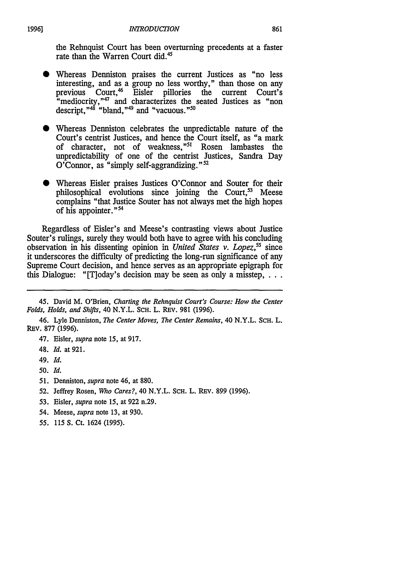the Rehnquist Court has been overturning precedents at a faster rate than the Warren Court did.<sup>4</sup>

- **0** Whereas Denniston praises the current Justices as "no less interesting, and as a group no less worthy," than those on any previous Court.<sup>46</sup> Eisler pillories the current Court's  $\frac{1}{2}$ "mediocrity,"<sup>47</sup> and characterizes the seated Justices as "non descript," $48$  "bland," $49$  and "vacuous." $50$
- **"** Whereas Denniston celebrates the unpredictable nature of the Court's centrist Justices, and hence the Court itself, as "a mark of character, not of weakness,"<sup>51</sup> Rosen lambastes the unpredictability of one of the centrist Justices, Sandra Day O'Connor, as "simply self-aggrandizing." $52$
- \* Whereas Eisler praises Justices O'Connor and Souter for their philosophical evolutions since joining the Court, $53$  Meese complains "that Justice Souter has not always met the high hopes of his appointer."<sup>54</sup>

Regardless of Eisler's and Meese's contrasting views about Justice Souter's rulings, surely they would both have to agree with his concluding observation in his dissenting opinion in *United States v. Lopez*,<sup>55</sup> since it underscores the difficulty of predicting the long-run significance of any Supreme Court decision, and hence serves as an appropriate epigraph for this Dialogue: "[T]oday's decision may be seen as only a misstep,  $\ldots$ 

- 47. Eisler, *supra* note 15, at 917.
- 48. *Id.* at 921.
- 49. *Id.*
- *50. Id.*
- *51.* Denniston, *supra* note 46, at 880.
- 52. Jeffrey Rosen, *Who Cares?,* 40 N.Y.L. **SCH.** L. REv. 899 (1996).
- 53. Eisler, *supra* note 15, at 922 n.29.
- 54. Meese, *supra* note 13, at 930.

*19961*

*55.* 115 S. Ct. 1624 (1995).

<sup>45.</sup> David M. O'Brien, *Charting the Rehnquist Court's Course: How the Center Folds, Holds, and Shifts,* 40 N.Y.L. SCH. L. REv. **981** (1996).

<sup>46.</sup> Lyle Denniston, *The Center Moves, The Center Remains,* 40 N.Y.L. SCH. L. REV. 877 (1996).